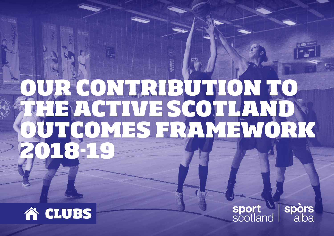# OUR CONTRIBUTION TO THE ACTIVE SCOTLAND OUTCOMES FRAMEWORK 2018-19



sport<br>scotland alba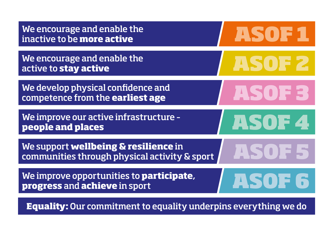| We encourage and enable the<br>inactive to be more active                             | ASOF1  |
|---------------------------------------------------------------------------------------|--------|
| We encourage and enable the<br>active to stay active                                  | ASOF 2 |
| We develop physical confidence and<br>competence from the earliest age                | ASOF3  |
| We improve our active infrastructure -<br>people and places                           | ASOF4  |
| We support wellbeing & resilience in<br>communities through physical activity & sport | 15077  |
| We improve opportunities to <b>participate</b> ,<br>progress and achieve in sport     | ASOF6  |

**Equality:** Our commitment to equality underpins everything we do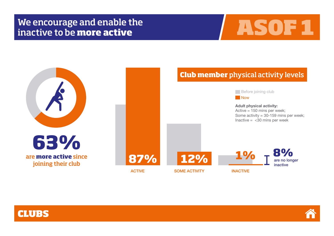## We encourage and enable the We encourage and enable the **ASOF1**







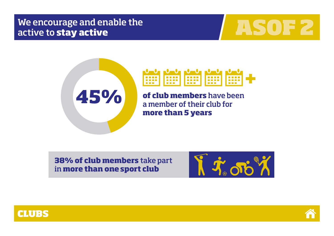## We encourage and enable the We encourage and enable the **ASOF 2**







**of club members** have been a member of their club for **more than 5 years**

**38% of club members** take part in **more than one sport club** 





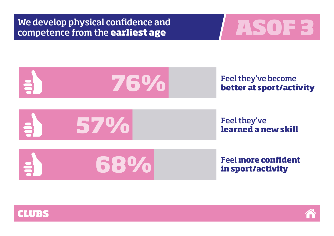We develop physical confidence and We develop physical confidence and<br> **Competence from the earliest age ASOF 3** 

![](_page_4_Picture_1.jpeg)

![](_page_4_Figure_2.jpeg)

![](_page_4_Picture_3.jpeg)

![](_page_4_Picture_4.jpeg)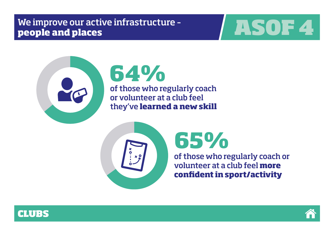## We improve our active infrastructure – We improve our active infrastructure **ASOF 4**

![](_page_5_Picture_1.jpeg)

![](_page_5_Picture_2.jpeg)

## **64%** of those who regularly coach or volunteer at a club feel they've **learned a new skill**

![](_page_5_Picture_4.jpeg)

## **65%**

of those who regularly coach or volunteer at a club feel **more confident in sport/activity**

![](_page_5_Picture_7.jpeg)

![](_page_5_Picture_8.jpeg)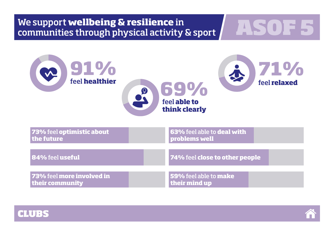![](_page_6_Picture_0.jpeg)

![](_page_6_Picture_1.jpeg)

![](_page_6_Picture_2.jpeg)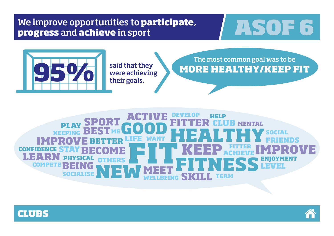# We improve opportunities to **participate, TASOF 6**

![](_page_7_Picture_2.jpeg)

said that they were achieving their goals.

## The most common goal was to be **MORE HEALTHY/KEEP FIT**

**SOCIAL SOCIALISE PHYS TEAM BEING GOOD FITTER IMPROVE** SP<sub>D</sub> **NEW BEST FITNESS STAY HELP CON ME WANT HEALTHY FITTER PLAY IMPROVE MENTAL FRIENDS KEEP** OTHERS **ENJOYMENT CLUB LIFE KEEPING BETTER LEVEL ACTIVE DEVELOP BECOME MEET SKILL LEARN COMPETE WELLBEING** FITNESS

![](_page_7_Picture_6.jpeg)

![](_page_7_Picture_7.jpeg)